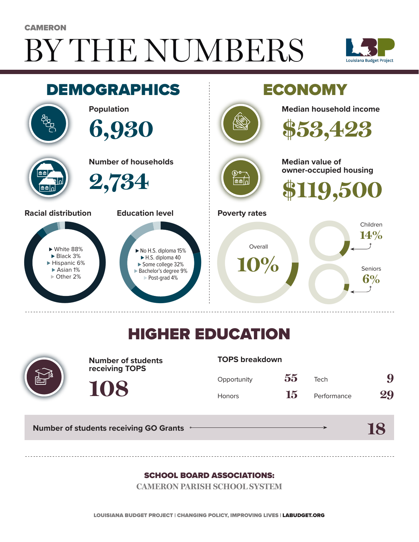# BY THE NUMBERS **CAMERON**





## HIGHER EDUCATION



**Number of students receiving TOPS**

#### **TOPS breakdown**

| Opportunity   | 55 | Tech        | 9  |
|---------------|----|-------------|----|
| <b>Honors</b> | 15 | Performance | 29 |

**18**

**Number of students receiving GO Grants**

**108**

#### SCHOOL BOARD ASSOCIATIONS:

**CAMERON PARISH SCHOOL SYSTEM**